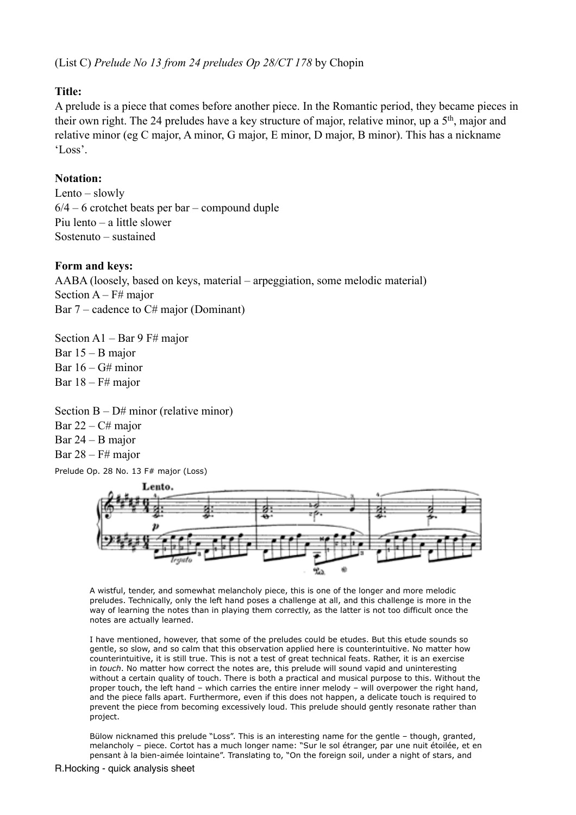(List C) *Prelude No 13 from 24 preludes Op 28/CT 178* by Chopin

# **Title:**

A prelude is a piece that comes before another piece. In the Romantic period, they became pieces in their own right. The 24 preludes have a key structure of major, relative minor, up a 5th, major and relative minor (eg C major, A minor, G major, E minor, D major, B minor). This has a nickname 'Loss'.

#### **Notation:**

Lento – slowly  $6/4 - 6$  crotchet beats per bar – compound duple Piu lento – a little slower Sostenuto – sustained

#### **Form and keys:**

AABA (loosely, based on keys, material – arpeggiation, some melodic material) Section  $A - F#$  major Bar  $7$  – cadence to C# major (Dominant)

Section A1 – Bar 9 F# major Bar 15 – B major Bar  $16 - G#$  minor Bar  $18 - F#$  major

Section  $B - D#$  minor (relative minor) Bar  $22 - C#$  major Bar 24 – B major

Bar  $28 - F#$  major

Prelude Op. 28 No. 13 F# major (Loss)



A wistful, tender, and somewhat melancholy piece, this is one of the longer and more melodic preludes. Technically, only the left hand poses a challenge at all, and this challenge is more in the way of learning the notes than in playing them correctly, as the latter is not too difficult once the notes are actually learned.

I have mentioned, however, that some of the preludes could be etudes. But this etude sounds so gentle, so slow, and so calm that this observation applied here is counterintuitive. No matter how counterintuitive, it is still true. This is not a test of great technical feats. Rather, it is an exercise in *touch*. No matter how correct the notes are, this prelude will sound vapid and uninteresting without a certain quality of touch. There is both a practical and musical purpose to this. Without the proper touch, the left hand – which carries the entire inner melody – will overpower the right hand, and the piece falls apart. Furthermore, even if this does not happen, a delicate touch is required to prevent the piece from becoming excessively loud. This prelude should gently resonate rather than project.

Bülow nicknamed this prelude "Loss". This is an interesting name for the gentle – though, granted, melancholy – piece. Cortot has a much longer name: "Sur le sol étranger, par une nuit étoilée, et en pensant à la bien-aimée lointaine". Translating to, "On the foreign soil, under a night of stars, and